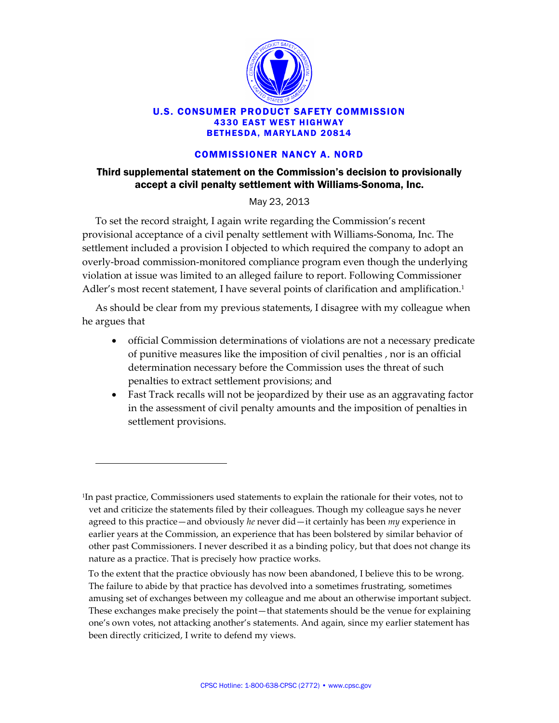

## U.S. CONSUMER PRODUCT SAFETY COMMISSION 4330 EAST WEST HIGHWAY BETHESDA, MARYLAND 20814

## COMMISSIONER NANCY A. NORD

## Third supplemental statement on the Commission's decision to provisionally accept a civil penalty settlement with Williams-Sonoma, Inc.

May 23, 2013

To set the record straight, I again write regarding the Commission's recent provisional acceptance of a civil penalty settlement with Williams-Sonoma, Inc. The settlement included a provision I objected to which required the company to adopt an overly-broad commission-monitored compliance program even though the underlying violation at issue was limited to an alleged failure to report. Following Commissioner Adler's most recent statement, I have several points of clarification and amplification.<sup>1</sup>

As should be clear from my previous statements, I disagree with my colleague when he argues that

- official Commission determinations of violations are not a necessary predicate of punitive measures like the imposition of civil penalties , nor is an official determination necessary before the Commission uses the threat of such penalties to extract settlement provisions; and
- Fast Track recalls will not be jeopardized by their use as an aggravating factor in the assessment of civil penalty amounts and the imposition of penalties in settlement provisions.

1

To the extent that the practice obviously has now been abandoned, I believe this to be wrong. The failure to abide by that practice has devolved into a sometimes frustrating, sometimes amusing set of exchanges between my colleague and me about an otherwise important subject. These exchanges make precisely the point—that statements should be the venue for explaining one's own votes, not attacking another's statements. And again, since my earlier statement has been directly criticized, I write to defend my views.

<sup>1</sup> In past practice, Commissioners used statements to explain the rationale for their votes, not to vet and criticize the statements filed by their colleagues. Though my colleague says he never agreed to this practice—and obviously *he* never did—it certainly has been *my* experience in earlier years at the Commission, an experience that has been bolstered by similar behavior of other past Commissioners. I never described it as a binding policy, but that does not change its nature as a practice. That is precisely how practice works.